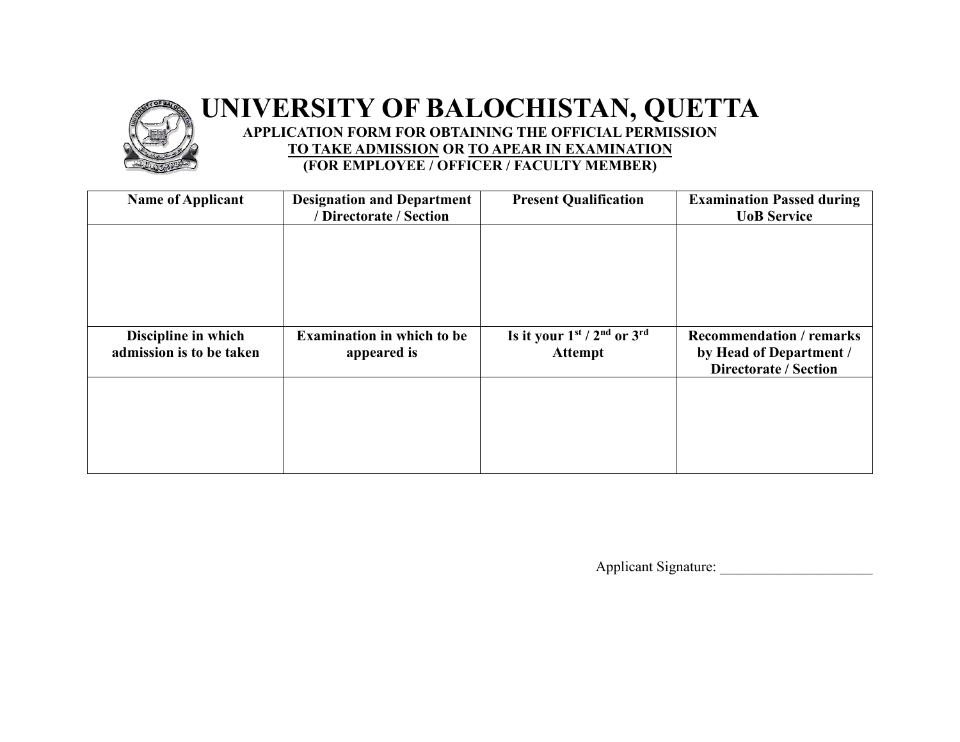## **UNIVERSITY OF BALOCHISTAN, QUETTA APPLICATION FORM FOR OBTAINING THE OFFICIAL PERMISSION**

**TO TAKE ADMISSION OR TO APEAR IN EXAMINATION**

**(FOR EMPLOYEE / OFFICER / FACULTY MEMBER)**

| <b>Name of Applicant</b> | <b>Designation and Department</b><br>/ Directorate / Section | <b>Present Qualification</b>    | <b>Examination Passed during</b><br><b>UoB</b> Service  |
|--------------------------|--------------------------------------------------------------|---------------------------------|---------------------------------------------------------|
|                          |                                                              |                                 |                                                         |
|                          |                                                              |                                 |                                                         |
|                          |                                                              |                                 |                                                         |
|                          |                                                              |                                 |                                                         |
| Discipline in which      | <b>Examination in which to be</b>                            | Is it your $1st / 2nd$ or $3rd$ | <b>Recommendation / remarks</b>                         |
| admission is to be taken | appeared is                                                  | <b>Attempt</b>                  | by Head of Department /<br><b>Directorate / Section</b> |
|                          |                                                              |                                 |                                                         |
|                          |                                                              |                                 |                                                         |
|                          |                                                              |                                 |                                                         |
|                          |                                                              |                                 |                                                         |
|                          |                                                              |                                 |                                                         |

Applicant Signature: